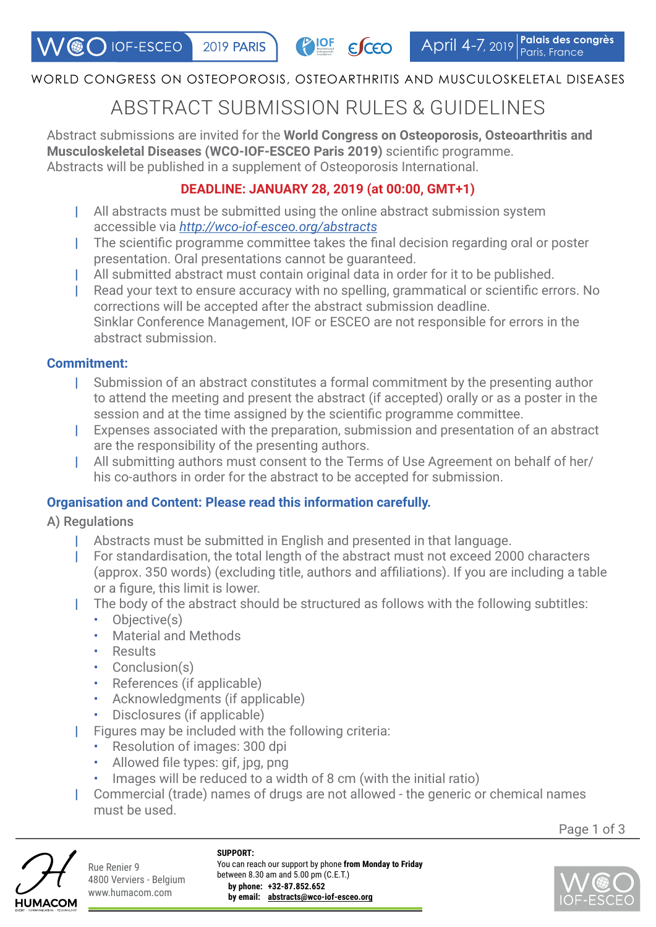## WORLD CONGRESS ON OSTEOPOROSIS, OSTEOARTHRITIS AND MUSCULOSKELETAL DISEASES

# ABSTRACT SUBMISSION RULES & GUIDELINES

Abstract submissions are invited for the **World Congress on Osteoporosis, Osteoarthritis and Musculoskeletal Diseases (WCO-IOF-ESCEO Paris 2019)** scientific programme. Abstracts will be published in a supplement of Osteoporosis International.

# **DEADLINE: JANUARY 28, 2019 (at 00:00, GMT+1)**

- | All abstracts must be submitted using the online abstract submission system accessible via *<http://wco-iof-esceo.org/abstracts>*
- | The scientific programme committee takes the final decision regarding oral or poster presentation. Oral presentations cannot be guaranteed.
- All submitted abstract must contain original data in order for it to be published.
- Read your text to ensure accuracy with no spelling, grammatical or scientific errors. No corrections will be accepted after the abstract submission deadline. Sinklar Conference Management, IOF or ESCEO are not responsible for errors in the abstract submission.

#### **Commitment:**

- | Submission of an abstract constitutes a formal commitment by the presenting author to attend the meeting and present the abstract (if accepted) orally or as a poster in the session and at the time assigned by the scientific programme committee.
- | Expenses associated with the preparation, submission and presentation of an abstract are the responsibility of the presenting authors.
- | All submitting authors must consent to the Terms of Use Agreement on behalf of her/ his co-authors in order for the abstract to be accepted for submission.

## **Organisation and Content: Please read this information carefully.**

- A) Regulations
	- | Abstracts must be submitted in English and presented in that language.
	- | For standardisation, the total length of the abstract must not exceed 2000 characters (approx. 350 words) (excluding title, authors and affiliations). If you are including a table or a figure, this limit is lower.
	- | The body of the abstract should be structured as follows with the following subtitles:
		- Objective(s)
		- Material and Methods
		- Results
		- Conclusion(s)
		- References (if applicable)
		- Acknowledgments (if applicable)
		- Disclosures (if applicable)
	- | Figures may be included with the following criteria:
		- Resolution of images: 300 dpi
		- Allowed file types: gif, jpg, png
		- Images will be reduced to a width of 8 cm (with the initial ratio)
	- | Commercial (trade) names of drugs are not allowed the generic or chemical names must be used.

Page 1 of 3



Rue Renier 9 4800 Verviers - Belgium www.humacom.com

**SUPPORT:** You can reach our support by phone **from Monday to Friday** between 8.30 am and 5.00 pm (C.E.T.) **by phone: +32-87.852.652 by email: abstracts@wco-iof-esceo.org**

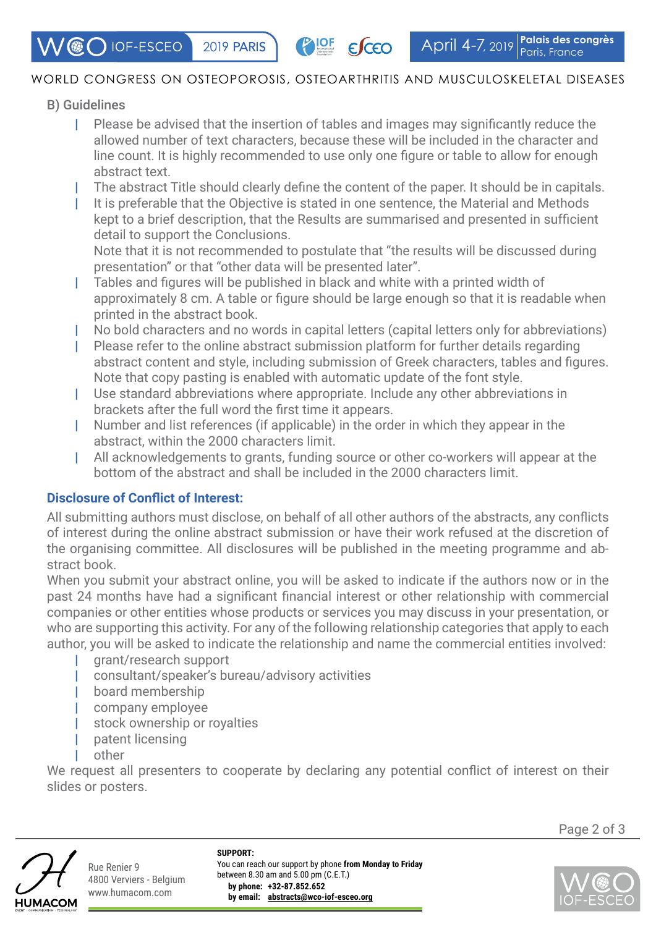$\mathcal{N}$  (  $\odot$  IOF-ESCEO **2019 PARIS**  **PIOF ESCEO** 

## WORLD CONGRESS ON OSTEOPOROSIS, OSTEOARTHRITIS AND MUSCULOSKELETAL DISEASES

## B) Guidelines

- | Please be advised that the insertion of tables and images may significantly reduce the allowed number of text characters, because these will be included in the character and line count. It is highly recommended to use only one figure or table to allow for enough abstract text.
- The abstract Title should clearly define the content of the paper. It should be in capitals.
- It is preferable that the Objective is stated in one sentence, the Material and Methods kept to a brief description, that the Results are summarised and presented in sufficient detail to support the Conclusions.

Note that it is not recommended to postulate that "the results will be discussed during presentation" or that "other data will be presented later".

- | Tables and figures will be published in black and white with a printed width of approximately 8 cm. A table or figure should be large enough so that it is readable when printed in the abstract book.
- | No bold characters and no words in capital letters (capital letters only for abbreviations)
- | Please refer to the online abstract submission platform for further details regarding abstract content and style, including submission of Greek characters, tables and figures. Note that copy pasting is enabled with automatic update of the font style.
- | Use standard abbreviations where appropriate. Include any other abbreviations in brackets after the full word the first time it appears.
- | Number and list references (if applicable) in the order in which they appear in the abstract, within the 2000 characters limit.
- All acknowledgements to grants, funding source or other co-workers will appear at the bottom of the abstract and shall be included in the 2000 characters limit.

## **Disclosure of Conflict of Interest:**

All submitting authors must disclose, on behalf of all other authors of the abstracts, any conflicts of interest during the online abstract submission or have their work refused at the discretion of the organising committee. All disclosures will be published in the meeting programme and abstract book.

When you submit your abstract online, you will be asked to indicate if the authors now or in the past 24 months have had a significant financial interest or other relationship with commercial companies or other entities whose products or services you may discuss in your presentation, or who are supporting this activity. For any of the following relationship categories that apply to each author, you will be asked to indicate the relationship and name the commercial entities involved:

- | grant/research support
- consultant/speaker's bureau/advisory activities
- | board membership
- company employee
- stock ownership or royalties
- patent licensing
- other

We request all presenters to cooperate by declaring any potential conflict of interest on their slides or posters.



Rue Renier 9 4800 Verviers - Belgium www.humacom.com

**SUPPORT:** You can reach our support by phone **from Monday to Friday** between 8.30 am and 5.00 pm (C.E.T.) **by phone: +32-87.852.652 by email: abstracts@wco-iof-esceo.org**